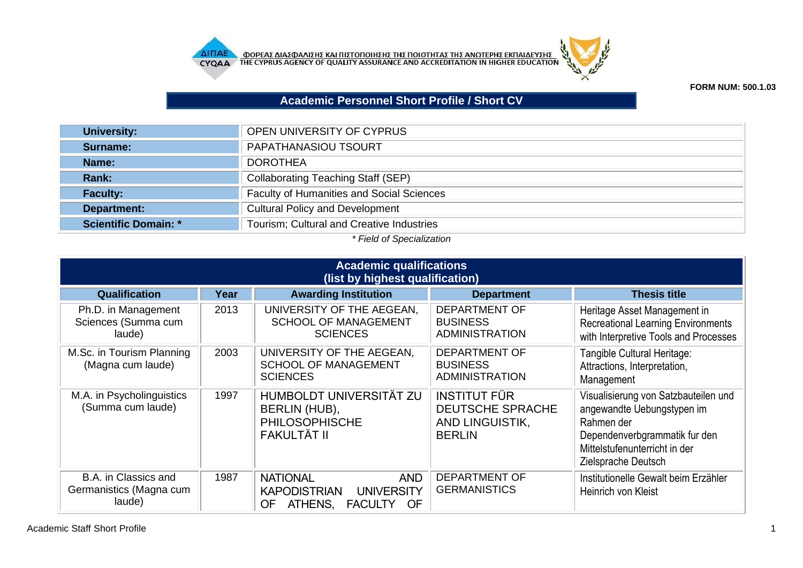



**FORM NUM: 500.1.03**

## **Academic Personnel Short Profile / Short CV**

| <b>University:</b>          | OPEN UNIVERSITY OF CYPRUS                                                                                                                                                                                                                                                                                           |
|-----------------------------|---------------------------------------------------------------------------------------------------------------------------------------------------------------------------------------------------------------------------------------------------------------------------------------------------------------------|
| Surname:                    | PAPATHANASIOU TSOURT                                                                                                                                                                                                                                                                                                |
| Name:                       | <b>DOROTHEA</b>                                                                                                                                                                                                                                                                                                     |
| Rank:                       | <b>Collaborating Teaching Staff (SEP)</b>                                                                                                                                                                                                                                                                           |
| <b>Faculty:</b>             | <b>Faculty of Humanities and Social Sciences</b>                                                                                                                                                                                                                                                                    |
| Department:                 | <b>Cultural Policy and Development</b>                                                                                                                                                                                                                                                                              |
| <b>Scientific Domain: *</b> | Tourism; Cultural and Creative Industries                                                                                                                                                                                                                                                                           |
|                             | $\frac{1}{2}$ $\frac{1}{2}$ $\frac{1}{2}$ $\frac{1}{2}$ $\frac{1}{2}$ $\frac{1}{2}$ $\frac{1}{2}$ $\frac{1}{2}$ $\frac{1}{2}$ $\frac{1}{2}$ $\frac{1}{2}$ $\frac{1}{2}$ $\frac{1}{2}$ $\frac{1}{2}$ $\frac{1}{2}$ $\frac{1}{2}$ $\frac{1}{2}$ $\frac{1}{2}$ $\frac{1}{2}$ $\frac{1}{2}$ $\frac{1}{2}$ $\frac{1}{2}$ |

## *\* Field of Specialization*

|                                                           | <b>Academic qualifications</b><br>(list by highest qualification) |                                                                                                                            |                                                                                    |                                                                                                                                                                           |  |  |
|-----------------------------------------------------------|-------------------------------------------------------------------|----------------------------------------------------------------------------------------------------------------------------|------------------------------------------------------------------------------------|---------------------------------------------------------------------------------------------------------------------------------------------------------------------------|--|--|
| Qualification                                             | Year                                                              | <b>Awarding Institution</b>                                                                                                | <b>Department</b>                                                                  | <b>Thesis title</b>                                                                                                                                                       |  |  |
| Ph.D. in Management<br>Sciences (Summa cum<br>laude)      | 2013                                                              | UNIVERSITY OF THE AEGEAN,<br><b>SCHOOL OF MANAGEMENT</b><br><b>SCIENCES</b>                                                | <b>DEPARTMENT OF</b><br><b>BUSINESS</b><br><b>ADMINISTRATION</b>                   | Heritage Asset Management in<br><b>Recreational Learning Environments</b><br>with Interpretive Tools and Processes                                                        |  |  |
| M.Sc. in Tourism Planning<br>(Magna cum laude)            | 2003                                                              | UNIVERSITY OF THE AEGEAN,<br><b>SCHOOL OF MANAGEMENT</b><br><b>SCIENCES</b>                                                | <b>DEPARTMENT OF</b><br><b>BUSINESS</b><br><b>ADMINISTRATION</b>                   | Tangible Cultural Heritage:<br>Attractions, Interpretation,<br>Management                                                                                                 |  |  |
| M.A. in Psycholinguistics<br>(Summa cum laude)            | 1997                                                              | HUMBOLDT UNIVERSITÄT ZU<br>BERLIN (HUB),<br><b>PHILOSOPHISCHE</b><br><b>FAKULTÄT II</b>                                    | <b>INSTITUT FÜR</b><br><b>DEUTSCHE SPRACHE</b><br>AND LINGUISTIK,<br><b>BERLIN</b> | Visualisierung von Satzbauteilen und<br>angewandte Uebungstypen im<br>Rahmen der<br>Dependenverbgrammatik fur den<br>Mittelstufenunterricht in der<br>Zielsprache Deutsch |  |  |
| B.A. in Classics and<br>Germanistics (Magna cum<br>laude) | 1987                                                              | <b>NATIONAL</b><br><b>AND</b><br><b>KAPODISTRIAN</b><br><b>UNIVERSITY</b><br>ATHENS,<br><b>OF</b><br><b>FACULTY</b><br>OF. | <b>DEPARTMENT OF</b><br><b>GERMANISTICS</b>                                        | Institutionelle Gewalt beim Erzähler<br>Heinrich von Kleist                                                                                                               |  |  |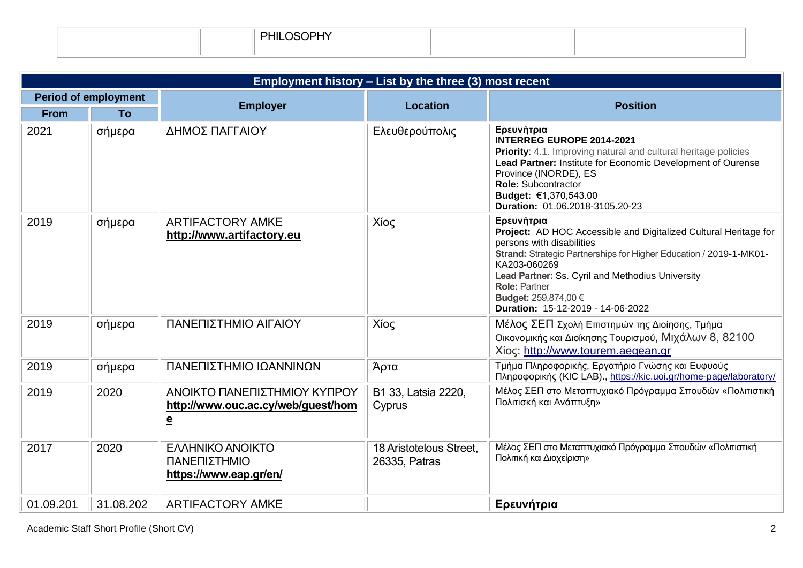| $\mathbf{r}$<br>PHIL |  |
|----------------------|--|
|                      |  |

|             | Employment history - List by the three (3) most recent |                                                                                                |                                          |                                                                                                                                                                                                                                                                                                                                            |  |  |
|-------------|--------------------------------------------------------|------------------------------------------------------------------------------------------------|------------------------------------------|--------------------------------------------------------------------------------------------------------------------------------------------------------------------------------------------------------------------------------------------------------------------------------------------------------------------------------------------|--|--|
|             | <b>Period of employment</b>                            |                                                                                                |                                          |                                                                                                                                                                                                                                                                                                                                            |  |  |
| <b>From</b> | To                                                     | <b>Employer</b>                                                                                | <b>Location</b>                          | <b>Position</b>                                                                                                                                                                                                                                                                                                                            |  |  |
| 2021        | σήμερα                                                 | ΔΗΜΟΣ ΠΑΓΓΑΙΟΥ                                                                                 | Ελευθερούπολις                           | Ερευνήτρια<br><b>INTERREG EUROPE 2014-2021</b><br>Priority: 4.1. Improving natural and cultural heritage policies<br>Lead Partner: Institute for Economic Development of Ourense<br>Province (INORDE), ES<br>Role: Subcontractor<br>Budget: €1,370,543.00<br>Duration: 01.06.2018-3105.20-23                                               |  |  |
| 2019        | σήμερα                                                 | <b>ARTIFACTORY AMKE</b><br>http://www.artifactory.eu                                           | Χίος                                     | Ερευνήτρια<br>Project: AD HOC Accessible and Digitalized Cultural Heritage for<br>persons with disabilities<br>Strand: Strategic Partnerships for Higher Education / 2019-1-MK01-<br>KA203-060269<br>Lead Partner: Ss. Cyril and Methodius University<br><b>Role: Partner</b><br>Budget: 259,874,00 €<br>Duration: 15-12-2019 - 14-06-2022 |  |  |
| 2019        | σήμερα                                                 | ΠΑΝΕΠΙΣΤΗΜΙΟ ΑΙΓΑΙΟΥ                                                                           | Χίος                                     | Μέλος ΣΕΠ Σχολή Επιστημών της Διοίησης, Τμήμα<br>Οικονομικής και Διοίκησης Τουρισμού, Μιχάλων 8, 82100<br>Χίος: http://www.tourem.aegean.gr                                                                                                                                                                                                |  |  |
| 2019        | σήμερα                                                 | ΠΑΝΕΠΙΣΤΗΜΙΟ ΙΩΑΝΝΙΝΩΝ                                                                         | Άρτα                                     | Τμήμα Πληροφορικής, Εργατήριο Γνώσης και Ευφυούς<br>Πληροφορικής (KIC LAB)., https://kic.uoi.gr/home-page/laboratory/                                                                                                                                                                                                                      |  |  |
| 2019        | 2020                                                   | ΑΝΟΙΚΤΟ ΠΑΝΕΠΙΣΤΗΜΙΟΥ ΚΥΠΡΟΥ<br>http://www.ouc.ac.cy/web/guest/hom<br>$\underline{\mathbf{e}}$ | B1 33, Latsia 2220,<br>Cyprus            | Μέλος ΣΕΠ στο Μεταπτυχιακό Πρόγραμμα Σπουδών «Πολιτιστική<br>Πολιτισκή και Ανάπτυξη»                                                                                                                                                                                                                                                       |  |  |
| 2017        | 2020                                                   | <b>EMHNIKO ANOIKTO</b><br>ΠΑΝΕΠΙΣΤΗΜΙΟ<br>https://www.eap.gr/en/                               | 18 Aristotelous Street,<br>26335, Patras | Μέλος ΣΕΠ στο Μεταπτυχιακό Πρόγραμμα Σπουδών «Πολιτιστική<br>Πολιτική και Διαχείριση»                                                                                                                                                                                                                                                      |  |  |
| 01.09.201   | 31.08.202                                              | <b>ARTIFACTORY AMKE</b>                                                                        |                                          | Ερευνήτρια                                                                                                                                                                                                                                                                                                                                 |  |  |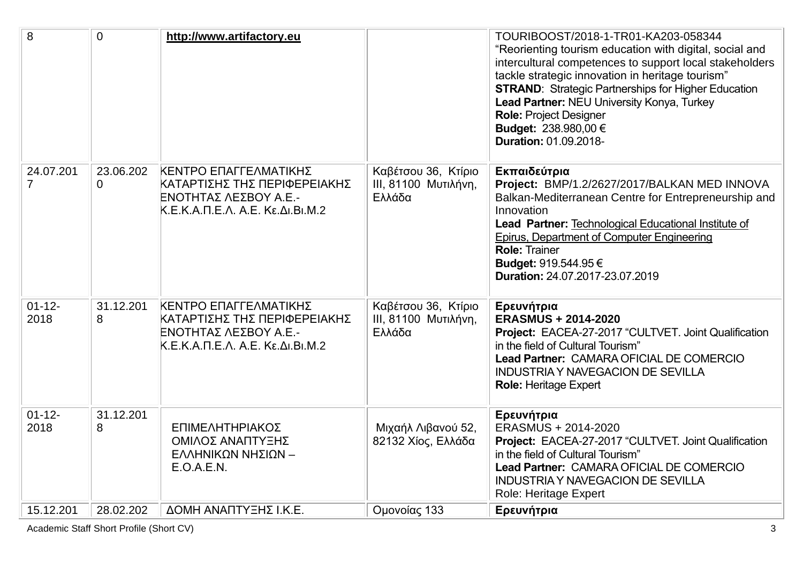| 8                           | $\Omega$                    | http://www.artifactory.eu                                                                                          |                                                               | TOURIBOOST/2018-1-TR01-KA203-058344<br>"Reorienting tourism education with digital, social and<br>intercultural competences to support local stakeholders<br>tackle strategic innovation in heritage tourism"<br><b>STRAND:</b> Strategic Partnerships for Higher Education<br>Lead Partner: NEU University Konya, Turkey<br><b>Role: Project Designer</b><br>Budget: 238.980,00 €<br><b>Duration: 01.09.2018-</b> |
|-----------------------------|-----------------------------|--------------------------------------------------------------------------------------------------------------------|---------------------------------------------------------------|--------------------------------------------------------------------------------------------------------------------------------------------------------------------------------------------------------------------------------------------------------------------------------------------------------------------------------------------------------------------------------------------------------------------|
| 24.07.201<br>$\overline{7}$ | 23.06.202<br>$\overline{0}$ | ΚΕΝΤΡΟ ΕΠΑΓΓΕΛΜΑΤΙΚΗΣ<br>ΚΑΤΑΡΤΙΣΗΣ ΤΗΣ ΠΕΡΙΦΕΡΕΙΑΚΗΣ<br>ΕΝΟΤΗΤΑΣ ΛΕΣΒΟΥ Α.Ε.-<br>Κ.Ε.Κ.Α.Π.Ε.Λ. Α.Ε. Κε.Δι.Βι.Μ.2 | Καβέτσου 36, Κτίριο<br><b>ΙΙΙ</b> , 81100 Μυτιλήνη,<br>Ελλάδα | Εκπαιδεύτρια<br>Project: BMP/1.2/2627/2017/BALKAN MED INNOVA<br>Balkan-Mediterranean Centre for Entrepreneurship and<br>Innovation<br>Lead Partner: Technological Educational Institute of<br><b>Epirus, Department of Computer Engineering</b><br><b>Role: Trainer</b><br>Budget: 919.544.95 €<br><b>Duration: 24.07.2017-23.07.2019</b>                                                                          |
| $01 - 12 -$<br>2018         | 31.12.201<br>8              | ΚΕΝΤΡΟ ΕΠΑΓΓΕΛΜΑΤΙΚΗΣ<br>ΚΑΤΑΡΤΙΣΗΣ ΤΗΣ ΠΕΡΙΦΕΡΕΙΑΚΗΣ<br>ΕΝΟΤΗΤΑΣ ΛΕΣΒΟΥ Α.Ε.-<br>K.E.K.A.Π.Ε.Λ. Α.Ε. Κε.Δι.Βι.Μ.2 | Καβέτσου 36, Κτίριο<br><b>ΙΙΙ, 81100 Μυτιλήνη,</b><br>Ελλάδα  | Ερευνήτρια<br><b>ERASMUS + 2014-2020</b><br><b>Project: EACEA-27-2017 "CULTVET. Joint Qualification</b><br>in the field of Cultural Tourism"<br>Lead Partner: CAMARA OFICIAL DE COMERCIO<br><b>INDUSTRIA Y NAVEGACION DE SEVILLA</b><br><b>Role: Heritage Expert</b>                                                                                                                                               |
| $01 - 12 -$<br>2018         | 31.12.201<br>8              | ΕΠΙΜΕΛΗΤΗΡΙΑΚΟΣ<br>ΟΜΙΛΟΣ ΑΝΑΠΤΥΞΗΣ<br>ΕΛΛΗΝΙΚΩΝ ΝΗΣΙΩΝ -<br>E.O.A.E.N.                                            | Μιχαήλ Λιβανού 52,<br>82132 Χίος, Ελλάδα                      | Ερευνήτρια<br>ERASMUS + 2014-2020<br>Project: EACEA-27-2017 "CULTVET. Joint Qualification<br>in the field of Cultural Tourism"<br>Lead Partner: CAMARA OFICIAL DE COMERCIO<br><b>INDUSTRIA Y NAVEGACION DE SEVILLA</b><br>Role: Heritage Expert                                                                                                                                                                    |
| 15.12.201                   | 28.02.202                   | ΔΟΜΗ ΑΝΑΠΤΥΞΗΣ Ι.Κ.Ε.                                                                                              | Ομονοίας 133                                                  | Ερευνήτρια                                                                                                                                                                                                                                                                                                                                                                                                         |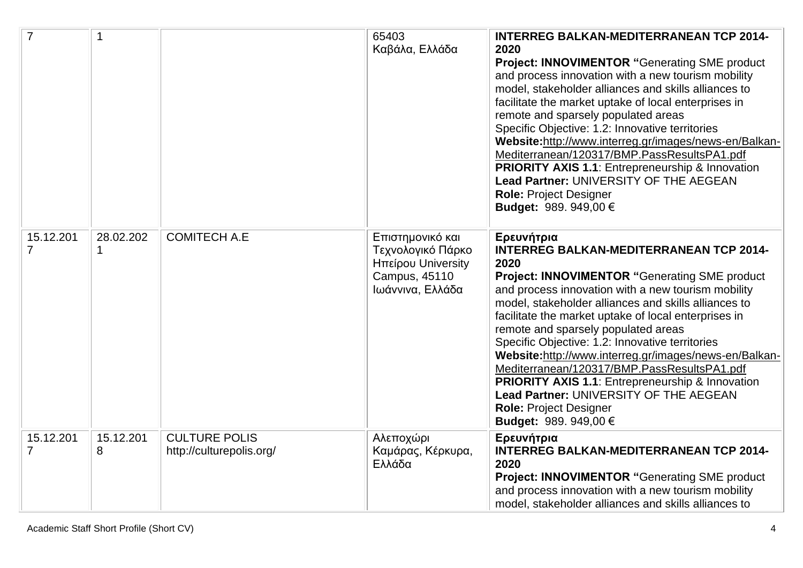| $\overline{7}$              |                |                                                  | 65403<br>Καβάλα, Ελλάδα                                                                          | <b>INTERREG BALKAN-MEDITERRANEAN TCP 2014-</b><br>2020<br><b>Project: INNOVIMENTOR "Generating SME product</b><br>and process innovation with a new tourism mobility<br>model, stakeholder alliances and skills alliances to<br>facilitate the market uptake of local enterprises in<br>remote and sparsely populated areas<br>Specific Objective: 1.2: Innovative territories<br>Website:http://www.interreg.gr/images/news-en/Balkan-<br>Mediterranean/120317/BMP.PassResultsPA1.pdf<br><b>PRIORITY AXIS 1.1:</b> Entrepreneurship & Innovation<br>Lead Partner: UNIVERSITY OF THE AEGEAN<br><b>Role: Project Designer</b><br>Budget: 989. 949,00 €        |
|-----------------------------|----------------|--------------------------------------------------|--------------------------------------------------------------------------------------------------|--------------------------------------------------------------------------------------------------------------------------------------------------------------------------------------------------------------------------------------------------------------------------------------------------------------------------------------------------------------------------------------------------------------------------------------------------------------------------------------------------------------------------------------------------------------------------------------------------------------------------------------------------------------|
| 15.12.201<br>7              | 28.02.202<br>1 | <b>COMITECH A.E</b>                              | Επιστημονικό και<br>Τεχνολογικό Πάρκο<br>Ηπείρου University<br>Campus, 45110<br>Ιωάννινα, Ελλάδα | Ερευνήτρια<br><b>INTERREG BALKAN-MEDITERRANEAN TCP 2014-</b><br>2020<br>Project: INNOVIMENTOR "Generating SME product<br>and process innovation with a new tourism mobility<br>model, stakeholder alliances and skills alliances to<br>facilitate the market uptake of local enterprises in<br>remote and sparsely populated areas<br>Specific Objective: 1.2: Innovative territories<br>Website:http://www.interreg.gr/images/news-en/Balkan-<br>Mediterranean/120317/BMP.PassResultsPA1.pdf<br><b>PRIORITY AXIS 1.1:</b> Entrepreneurship & Innovation<br>Lead Partner: UNIVERSITY OF THE AEGEAN<br><b>Role: Project Designer</b><br>Budget: 989. 949,00 € |
| 15.12.201<br>$\overline{7}$ | 15.12.201<br>8 | <b>CULTURE POLIS</b><br>http://culturepolis.org/ | Αλεποχώρι<br>Καμάρας, Κέρκυρα,<br>Ελλάδα                                                         | Ερευνήτρια<br><b>INTERREG BALKAN-MEDITERRANEAN TCP 2014-</b><br>2020<br><b>Project: INNOVIMENTOR "Generating SME product</b><br>and process innovation with a new tourism mobility<br>model, stakeholder alliances and skills alliances to                                                                                                                                                                                                                                                                                                                                                                                                                   |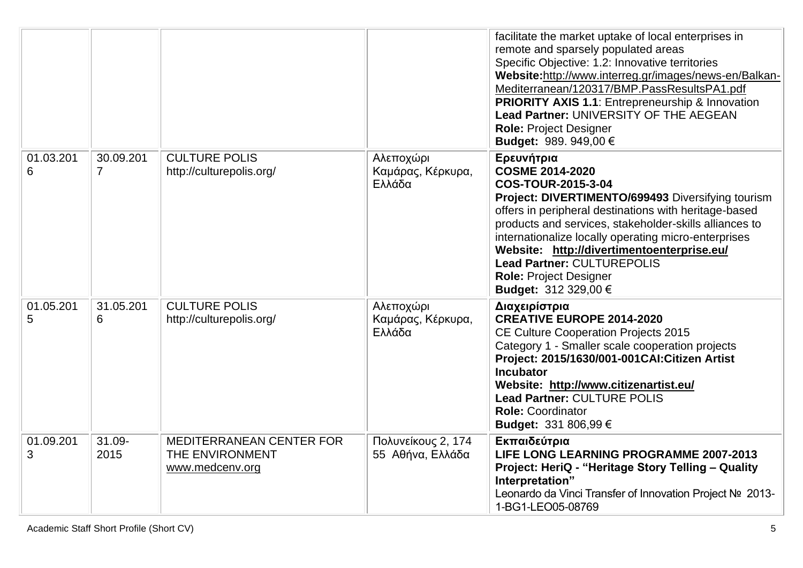|                |                             |                                                                       |                                          | facilitate the market uptake of local enterprises in<br>remote and sparsely populated areas<br>Specific Objective: 1.2: Innovative territories<br>Website:http://www.interreg.gr/images/news-en/Balkan-<br>Mediterranean/120317/BMP.PassResultsPA1.pdf<br><b>PRIORITY AXIS 1.1:</b> Entrepreneurship & Innovation<br>Lead Partner: UNIVERSITY OF THE AEGEAN<br><b>Role: Project Designer</b><br>Budget: 989. 949,00 €                  |
|----------------|-----------------------------|-----------------------------------------------------------------------|------------------------------------------|----------------------------------------------------------------------------------------------------------------------------------------------------------------------------------------------------------------------------------------------------------------------------------------------------------------------------------------------------------------------------------------------------------------------------------------|
| 01.03.201<br>6 | 30.09.201<br>$\overline{7}$ | <b>CULTURE POLIS</b><br>http://culturepolis.org/                      | Αλεποχώρι<br>Καμάρας, Κέρκυρα,<br>Ελλάδα | Ερευνήτρια<br><b>COSME 2014-2020</b><br>COS-TOUR-2015-3-04<br>Project: DIVERTIMENTO/699493 Diversifying tourism<br>offers in peripheral destinations with heritage-based<br>products and services, stakeholder-skills alliances to<br>internationalize locally operating micro-enterprises<br>Website: http://divertimentoenterprise.eu/<br><b>Lead Partner: CULTUREPOLIS</b><br><b>Role: Project Designer</b><br>Budget: 312 329,00 € |
| 01.05.201<br>5 | 31.05.201<br>6              | <b>CULTURE POLIS</b><br>http://culturepolis.org/                      | Αλεποχώρι<br>Καμάρας, Κέρκυρα,<br>Ελλάδα | Διαχειρίστρια<br><b>CREATIVE EUROPE 2014-2020</b><br><b>CE Culture Cooperation Projects 2015</b><br>Category 1 - Smaller scale cooperation projects<br>Project: 2015/1630/001-001CAI: Citizen Artist<br><b>Incubator</b><br>Website: http://www.citizenartist.eu/<br><b>Lead Partner: CULTURE POLIS</b><br><b>Role: Coordinator</b><br>Budget: 331 806,99 €                                                                            |
| 01.09.201<br>3 | 31.09-<br>2015              | <b>MEDITERRANEAN CENTER FOR</b><br>THE ENVIRONMENT<br>www.medcenv.org | Πολυνείκους 2, 174<br>55 Αθήνα, Ελλάδα   | Εκπαιδεύτρια<br>LIFE LONG LEARNING PROGRAMME 2007-2013<br>Project: HeriQ - "Heritage Story Telling - Quality<br>Interpretation"<br>Leonardo da Vinci Transfer of Innovation Project № 2013-<br>1-BG1-LEO05-08769                                                                                                                                                                                                                       |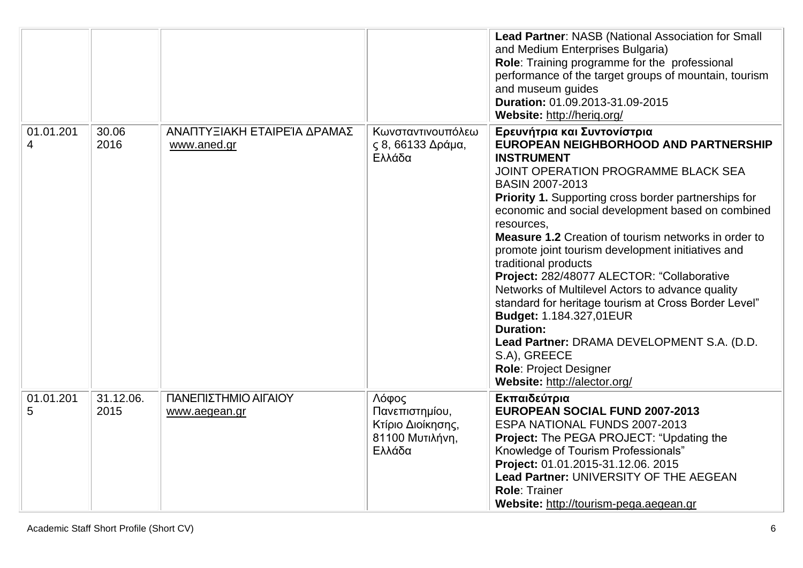|                |                   |                                            |                                                                           | <b>Lead Partner: NASB (National Association for Small</b><br>and Medium Enterprises Bulgaria)<br>Role: Training programme for the professional<br>performance of the target groups of mountain, tourism<br>and museum guides<br>Duration: 01.09.2013-31.09-2015<br>Website: http://herig.org/                                                                                                                                                                                                                                                                                                                                                                                                                                                                                           |
|----------------|-------------------|--------------------------------------------|---------------------------------------------------------------------------|-----------------------------------------------------------------------------------------------------------------------------------------------------------------------------------------------------------------------------------------------------------------------------------------------------------------------------------------------------------------------------------------------------------------------------------------------------------------------------------------------------------------------------------------------------------------------------------------------------------------------------------------------------------------------------------------------------------------------------------------------------------------------------------------|
| 01.01.201<br>4 | 30.06<br>2016     | ΑΝΑΠΤΥΞΙΑΚΗ ΕΤΑΙΡΕΊΑ ΔΡΑΜΑΣ<br>www.aned.gr | Κωνσταντινουπόλεω<br>ς 8, 66133 Δράμα,<br>Ελλάδα                          | Ερευνήτρια και Συντονίστρια<br>EUROPEAN NEIGHBORHOOD AND PARTNERSHIP<br><b>INSTRUMENT</b><br><b>JOINT OPERATION PROGRAMME BLACK SEA</b><br><b>BASIN 2007-2013</b><br><b>Priority 1.</b> Supporting cross border partnerships for<br>economic and social development based on combined<br>resources,<br><b>Measure 1.2</b> Creation of tourism networks in order to<br>promote joint tourism development initiatives and<br>traditional products<br>Project: 282/48077 ALECTOR: "Collaborative<br>Networks of Multilevel Actors to advance quality<br>standard for heritage tourism at Cross Border Level"<br><b>Budget: 1.184.327,01EUR</b><br><b>Duration:</b><br>Lead Partner: DRAMA DEVELOPMENT S.A. (D.D.<br>S.A), GREECE<br>Role: Project Designer<br>Website: http://alector.org/ |
| 01.01.201<br>5 | 31.12.06.<br>2015 | ΠΑΝΕΠΙΣΤΗΜΙΟ ΑΙΓΑΙΟΥ<br>www.aegean.gr      | Λόφος<br>Πανεπιστημίου,<br>Κτίριο Διοίκησης,<br>81100 Μυτιλήνη,<br>Ελλάδα | Εκπαιδεύτρια<br><b>EUROPEAN SOCIAL FUND 2007-2013</b><br>ESPA NATIONAL FUNDS 2007-2013<br><b>Project:</b> The PEGA PROJECT: "Updating the<br>Knowledge of Tourism Professionals"<br>Project: 01.01.2015-31.12.06. 2015<br>Lead Partner: UNIVERSITY OF THE AEGEAN<br><b>Role: Trainer</b><br>Website: http://tourism-pega.aegean.gr                                                                                                                                                                                                                                                                                                                                                                                                                                                      |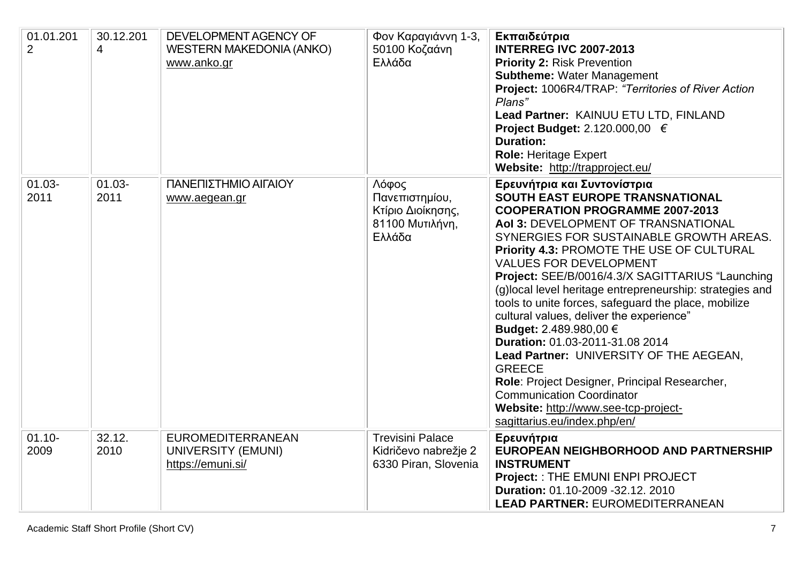| 01.01.201<br>$\overline{2}$ | 30.12.201<br>4    | DEVELOPMENT AGENCY OF<br><b>WESTERN MAKEDONIA (ANKO)</b><br>www.anko.gr | Φον Καραγιάννη 1-3,<br>50100 Κοζαάνη<br>Ελλάδα                            | Εκπαιδεύτρια<br><b>INTERREG IVC 2007-2013</b><br><b>Priority 2: Risk Prevention</b><br><b>Subtheme: Water Management</b><br>Project: 1006R4/TRAP: "Territories of River Action<br>Plans"<br>Lead Partner: KAINUU ETU LTD, FINLAND<br>Project Budget: 2.120.000,00 €<br><b>Duration:</b><br><b>Role: Heritage Expert</b><br>Website: http://trapproject.eu/                                                                                                                                                                                                                                                                                                                                                                                                                         |
|-----------------------------|-------------------|-------------------------------------------------------------------------|---------------------------------------------------------------------------|------------------------------------------------------------------------------------------------------------------------------------------------------------------------------------------------------------------------------------------------------------------------------------------------------------------------------------------------------------------------------------------------------------------------------------------------------------------------------------------------------------------------------------------------------------------------------------------------------------------------------------------------------------------------------------------------------------------------------------------------------------------------------------|
| $01.03 -$<br>2011           | $01.03 -$<br>2011 | ΠΑΝΕΠΙΣΤΗΜΙΟ ΑΙΓΑΙΟΥ<br>www.aegean.gr                                   | Λόφος<br>Πανεπιστημίου,<br>Κτίριο Διοίκησης,<br>81100 Μυτιλήνη,<br>Ελλάδα | Ερευνήτρια και Συντονίστρια<br>SOUTH EAST EUROPE TRANSNATIONAL<br><b>COOPERATION PROGRAMME 2007-2013</b><br>AoI 3: DEVELOPMENT OF TRANSNATIONAL<br>SYNERGIES FOR SUSTAINABLE GROWTH AREAS.<br>Priority 4.3: PROMOTE THE USE OF CULTURAL<br><b>VALUES FOR DEVELOPMENT</b><br>Project: SEE/B/0016/4.3/X SAGITTARIUS "Launching<br>(g)local level heritage entrepreneurship: strategies and<br>tools to unite forces, safeguard the place, mobilize<br>cultural values, deliver the experience"<br>Budget: 2.489.980,00 €<br>Duration: 01.03-2011-31.08 2014<br>Lead Partner: UNIVERSITY OF THE AEGEAN,<br><b>GREECE</b><br>Role: Project Designer, Principal Researcher,<br><b>Communication Coordinator</b><br>Website: http://www.see-tcp-project-<br>sagittarius.eu/index.php/en/ |
| $01.10 -$<br>2009           | 32.12.<br>2010    | <b>EUROMEDITERRANEAN</b><br>UNIVERSITY (EMUNI)<br>https://emuni.si/     | <b>Trevisini Palace</b><br>Kidričevo nabrežje 2<br>6330 Piran, Slovenia   | Ερευνήτρια<br>EUROPEAN NEIGHBORHOOD AND PARTNERSHIP<br><b>INSTRUMENT</b><br>Project: : THE EMUNI ENPI PROJECT<br>Duration: 01.10-2009 -32.12. 2010<br><b>LEAD PARTNER: EUROMEDITERRANEAN</b>                                                                                                                                                                                                                                                                                                                                                                                                                                                                                                                                                                                       |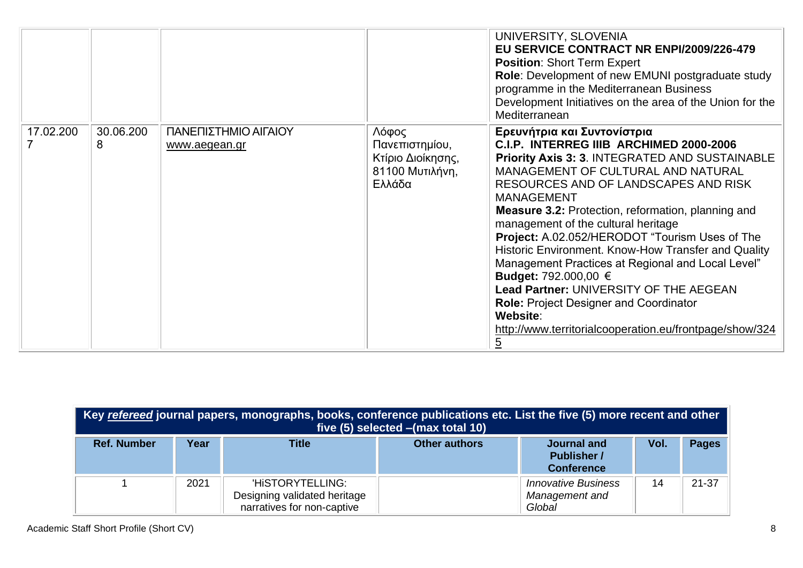|           |                |                                       |                                                                           | UNIVERSITY, SLOVENIA<br>EU SERVICE CONTRACT NR ENPI/2009/226-479<br><b>Position: Short Term Expert</b><br>Role: Development of new EMUNI postgraduate study<br>programme in the Mediterranean Business<br>Development Initiatives on the area of the Union for the<br>Mediterranean                                                                                                                                                                                                                                                                                                                                                                                                     |
|-----------|----------------|---------------------------------------|---------------------------------------------------------------------------|-----------------------------------------------------------------------------------------------------------------------------------------------------------------------------------------------------------------------------------------------------------------------------------------------------------------------------------------------------------------------------------------------------------------------------------------------------------------------------------------------------------------------------------------------------------------------------------------------------------------------------------------------------------------------------------------|
| 17.02.200 | 30.06.200<br>8 | ΠΑΝΕΠΙΣΤΗΜΙΟ ΑΙΓΑΙΟΥ<br>www.aegean.gr | Λόφος<br>Πανεπιστημίου,<br>Κτίριο Διοίκησης,<br>81100 Μυτιλήνη,<br>Ελλάδα | Ερευνήτρια και Συντονίστρια<br>C.I.P. INTERREG IIIB ARCHIMED 2000-2006<br>Priority Axis 3: 3. INTEGRATED AND SUSTAINABLE<br>MANAGEMENT OF CULTURAL AND NATURAL<br>RESOURCES AND OF LANDSCAPES AND RISK<br><b>MANAGEMENT</b><br><b>Measure 3.2: Protection, reformation, planning and</b><br>management of the cultural heritage<br>Project: A.02.052/HERODOT "Tourism Uses of The<br>Historic Environment. Know-How Transfer and Quality<br>Management Practices at Regional and Local Level"<br>Budget: 792.000,00 €<br>Lead Partner: UNIVERSITY OF THE AEGEAN<br><b>Role: Project Designer and Coordinator</b><br>Website:<br>http://www.territorialcooperation.eu/frontpage/show/324 |

| Key refereed journal papers, monographs, books, conference publications etc. List the five (5) more recent and other<br>five (5) selected - (max total 10) |      |                                                                                |                      |                                                        |      |              |
|------------------------------------------------------------------------------------------------------------------------------------------------------------|------|--------------------------------------------------------------------------------|----------------------|--------------------------------------------------------|------|--------------|
| <b>Ref. Number</b>                                                                                                                                         | Year | <b>Title</b>                                                                   | <b>Other authors</b> | Journal and<br><b>Publisher /</b><br><b>Conference</b> | Vol. | <b>Pages</b> |
|                                                                                                                                                            | 2021 | 'HISTORYTELLING:<br>Designing validated heritage<br>narratives for non-captive |                      | <b>Innovative Business</b><br>Management and<br>Global | 14   | $21 - 37$    |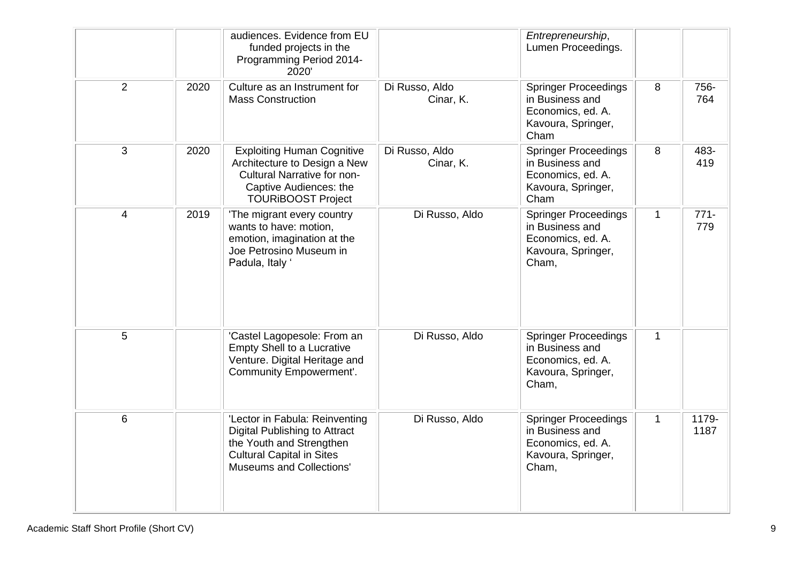|                         |      | audiences. Evidence from EU<br>funded projects in the<br>Programming Period 2014-<br>2020'                                                                     |                             | Entrepreneurship,<br>Lumen Proceedings.                                                            |              |                |
|-------------------------|------|----------------------------------------------------------------------------------------------------------------------------------------------------------------|-----------------------------|----------------------------------------------------------------------------------------------------|--------------|----------------|
| $\overline{2}$          | 2020 | Culture as an Instrument for<br><b>Mass Construction</b>                                                                                                       | Di Russo, Aldo<br>Cinar, K. | <b>Springer Proceedings</b><br>in Business and<br>Economics, ed. A.<br>Kavoura, Springer,<br>Cham  | 8            | 756-<br>764    |
| 3                       | 2020 | <b>Exploiting Human Cognitive</b><br>Architecture to Design a New<br><b>Cultural Narrative for non-</b><br>Captive Audiences: the<br><b>TOURIBOOST Project</b> | Di Russo, Aldo<br>Cinar, K. | <b>Springer Proceedings</b><br>in Business and<br>Economics, ed. A.<br>Kavoura, Springer,<br>Cham  | 8            | 483-<br>419    |
| $\overline{\mathbf{4}}$ | 2019 | 'The migrant every country<br>wants to have: motion,<br>emotion, imagination at the<br>Joe Petrosino Museum in<br>Padula, Italy '                              | Di Russo, Aldo              | <b>Springer Proceedings</b><br>in Business and<br>Economics, ed. A.<br>Kavoura, Springer,<br>Cham, | $\mathbf 1$  | $771 -$<br>779 |
| 5                       |      | 'Castel Lagopesole: From an<br><b>Empty Shell to a Lucrative</b><br>Venture. Digital Heritage and<br>Community Empowerment'.                                   | Di Russo, Aldo              | <b>Springer Proceedings</b><br>in Business and<br>Economics, ed. A.<br>Kavoura, Springer,<br>Cham, | $\mathbf{1}$ |                |
| 6                       |      | 'Lector in Fabula: Reinventing<br>Digital Publishing to Attract<br>the Youth and Strengthen<br><b>Cultural Capital in Sites</b><br>Museums and Collections'    | Di Russo, Aldo              | <b>Springer Proceedings</b><br>in Business and<br>Economics, ed. A.<br>Kavoura, Springer,<br>Cham, | $\mathbf 1$  | 1179-<br>1187  |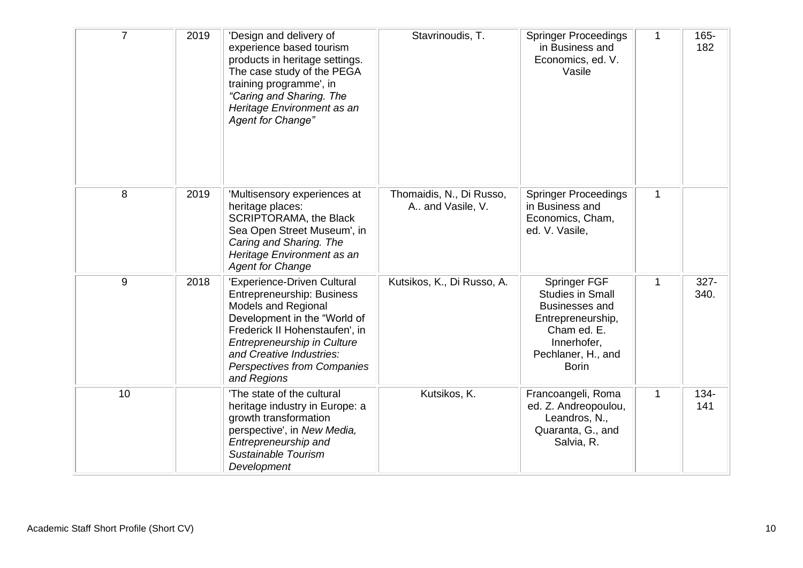| $\overline{7}$ | 2019 | 'Design and delivery of<br>experience based tourism<br>products in heritage settings.<br>The case study of the PEGA<br>training programme', in<br>"Caring and Sharing. The<br>Heritage Environment as an<br>Agent for Change"                                      | Stavrinoudis, T.                               | <b>Springer Proceedings</b><br>in Business and<br>Economics, ed. V.<br>Vasile                                                                      | $\mathbf 1$  | 165-<br>182     |
|----------------|------|--------------------------------------------------------------------------------------------------------------------------------------------------------------------------------------------------------------------------------------------------------------------|------------------------------------------------|----------------------------------------------------------------------------------------------------------------------------------------------------|--------------|-----------------|
| 8              | 2019 | 'Multisensory experiences at<br>heritage places:<br><b>SCRIPTORAMA, the Black</b><br>Sea Open Street Museum', in<br>Caring and Sharing. The<br>Heritage Environment as an<br><b>Agent for Change</b>                                                               | Thomaidis, N., Di Russo,<br>A., and Vasile, V. | <b>Springer Proceedings</b><br>in Business and<br>Economics, Cham,<br>ed. V. Vasile,                                                               | $\mathbf{1}$ |                 |
| 9              | 2018 | 'Experience-Driven Cultural<br>Entrepreneurship: Business<br><b>Models and Regional</b><br>Development in the "World of<br>Frederick II Hohenstaufen', in<br>Entrepreneurship in Culture<br>and Creative Industries:<br>Perspectives from Companies<br>and Regions | Kutsikos, K., Di Russo, A.                     | Springer FGF<br><b>Studies in Small</b><br>Businesses and<br>Entrepreneurship,<br>Cham ed. E.<br>Innerhofer,<br>Pechlaner, H., and<br><b>Borin</b> | $\mathbf{1}$ | $327 -$<br>340. |
| 10             |      | 'The state of the cultural<br>heritage industry in Europe: a<br>growth transformation<br>perspective', in New Media,<br>Entrepreneurship and<br>Sustainable Tourism<br>Development                                                                                 | Kutsikos, K.                                   | Francoangeli, Roma<br>ed. Z. Andreopoulou,<br>Leandros, N.,<br>Quaranta, G., and<br>Salvia, R.                                                     | $\mathbf 1$  | $134 -$<br>141  |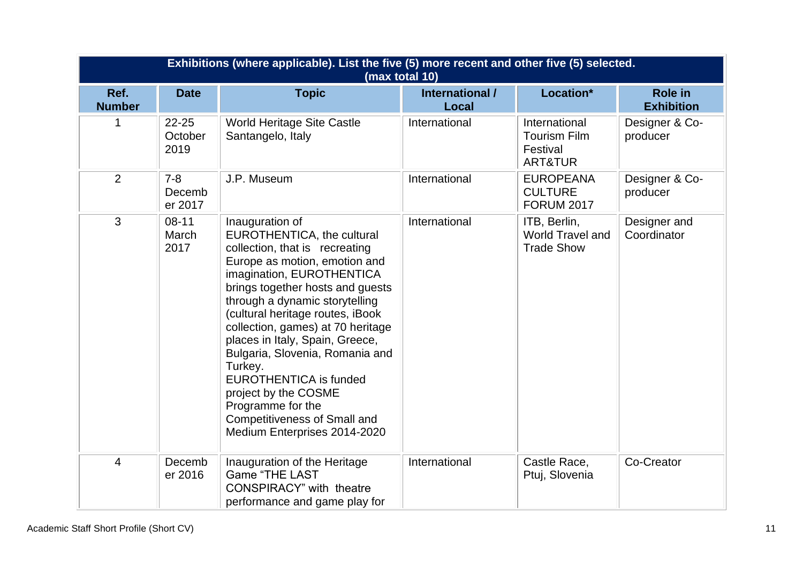|                       | Exhibitions (where applicable). List the five (5) more recent and other five (5) selected.<br>(max total 10) |                                                                                                                                                                                                                                                                                                                                                                                                                                                                                                                                           |                          |                                                             |                                     |  |  |
|-----------------------|--------------------------------------------------------------------------------------------------------------|-------------------------------------------------------------------------------------------------------------------------------------------------------------------------------------------------------------------------------------------------------------------------------------------------------------------------------------------------------------------------------------------------------------------------------------------------------------------------------------------------------------------------------------------|--------------------------|-------------------------------------------------------------|-------------------------------------|--|--|
| Ref.<br><b>Number</b> | <b>Date</b>                                                                                                  | <b>Topic</b>                                                                                                                                                                                                                                                                                                                                                                                                                                                                                                                              | International /<br>Local | Location*                                                   | <b>Role in</b><br><b>Exhibition</b> |  |  |
|                       | $22 - 25$<br>October<br>2019                                                                                 | <b>World Heritage Site Castle</b><br>Santangelo, Italy                                                                                                                                                                                                                                                                                                                                                                                                                                                                                    | International            | International<br><b>Tourism Film</b><br>Festival<br>ART&TUR | Designer & Co-<br>producer          |  |  |
| $\overline{2}$        | $7 - 8$<br>Decemb<br>er 2017                                                                                 | J.P. Museum                                                                                                                                                                                                                                                                                                                                                                                                                                                                                                                               | International            | <b>EUROPEANA</b><br><b>CULTURE</b><br><b>FORUM 2017</b>     | Designer & Co-<br>producer          |  |  |
| 3                     | $08 - 11$<br>March<br>2017                                                                                   | Inauguration of<br><b>EUROTHENTICA, the cultural</b><br>collection, that is recreating<br>Europe as motion, emotion and<br>imagination, EUROTHENTICA<br>brings together hosts and guests<br>through a dynamic storytelling<br>(cultural heritage routes, iBook<br>collection, games) at 70 heritage<br>places in Italy, Spain, Greece,<br>Bulgaria, Slovenia, Romania and<br>Turkey.<br><b>EUROTHENTICA is funded</b><br>project by the COSME<br>Programme for the<br><b>Competitiveness of Small and</b><br>Medium Enterprises 2014-2020 | International            | ITB, Berlin,<br>World Travel and<br><b>Trade Show</b>       | Designer and<br>Coordinator         |  |  |
| $\overline{4}$        | Decemb<br>er 2016                                                                                            | Inauguration of the Heritage<br><b>Game "THE LAST</b><br><b>CONSPIRACY</b> " with theatre<br>performance and game play for                                                                                                                                                                                                                                                                                                                                                                                                                | International            | Castle Race,<br>Ptuj, Slovenia                              | Co-Creator                          |  |  |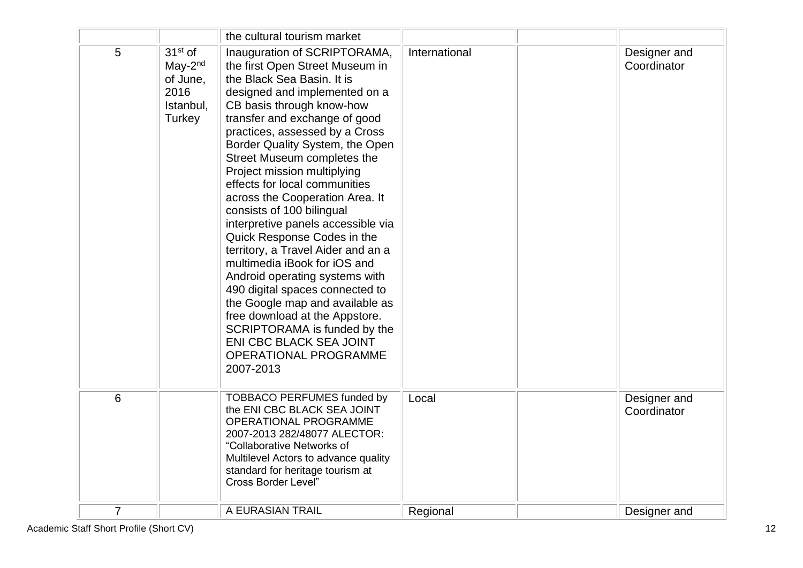|                |                                                                             | the cultural tourism market                                                                                                                                                                                                                                                                                                                                                                                                                                                                                                                                                                                                                                                                                                                                                                                                   |               |                             |
|----------------|-----------------------------------------------------------------------------|-------------------------------------------------------------------------------------------------------------------------------------------------------------------------------------------------------------------------------------------------------------------------------------------------------------------------------------------------------------------------------------------------------------------------------------------------------------------------------------------------------------------------------------------------------------------------------------------------------------------------------------------------------------------------------------------------------------------------------------------------------------------------------------------------------------------------------|---------------|-----------------------------|
| 5              | $31st$ of<br>May-2 <sup>nd</sup><br>of June,<br>2016<br>Istanbul,<br>Turkey | Inauguration of SCRIPTORAMA,<br>the first Open Street Museum in<br>the Black Sea Basin. It is<br>designed and implemented on a<br>CB basis through know-how<br>transfer and exchange of good<br>practices, assessed by a Cross<br>Border Quality System, the Open<br>Street Museum completes the<br>Project mission multiplying<br>effects for local communities<br>across the Cooperation Area. It<br>consists of 100 bilingual<br>interpretive panels accessible via<br>Quick Response Codes in the<br>territory, a Travel Aider and an a<br>multimedia iBook for iOS and<br>Android operating systems with<br>490 digital spaces connected to<br>the Google map and available as<br>free download at the Appstore.<br>SCRIPTORAMA is funded by the<br>ENI CBC BLACK SEA JOINT<br><b>OPERATIONAL PROGRAMME</b><br>2007-2013 | International | Designer and<br>Coordinator |
| 6              |                                                                             | <b>TOBBACO PERFUMES funded by</b><br>the ENI CBC BLACK SEA JOINT<br>OPERATIONAL PROGRAMME<br>2007-2013 282/48077 ALECTOR:<br>"Collaborative Networks of<br>Multilevel Actors to advance quality<br>standard for heritage tourism at<br><b>Cross Border Level"</b>                                                                                                                                                                                                                                                                                                                                                                                                                                                                                                                                                             | Local         | Designer and<br>Coordinator |
| $\overline{7}$ |                                                                             | A EURASIAN TRAIL                                                                                                                                                                                                                                                                                                                                                                                                                                                                                                                                                                                                                                                                                                                                                                                                              | Regional      | Designer and                |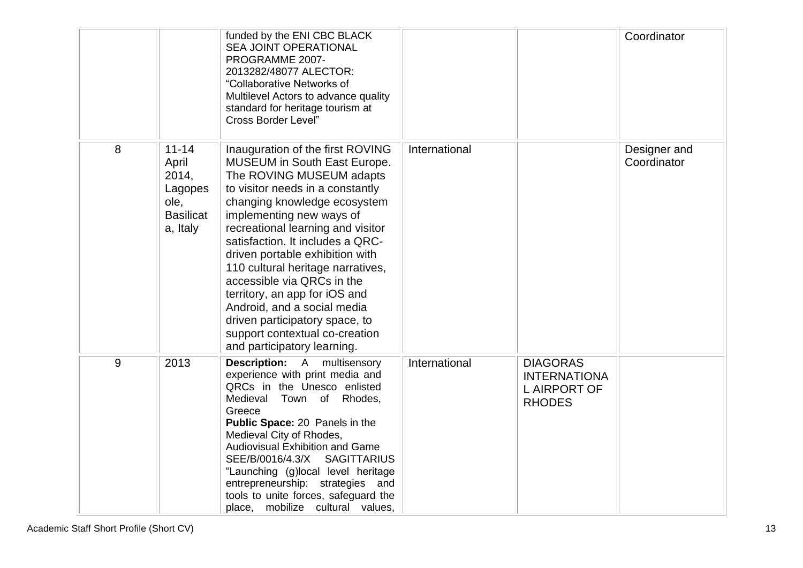|   |                                                                                | funded by the ENI CBC BLACK<br><b>SEA JOINT OPERATIONAL</b><br>PROGRAMME 2007-<br>2013282/48077 ALECTOR:<br>"Collaborative Networks of<br>Multilevel Actors to advance quality<br>standard for heritage tourism at<br><b>Cross Border Level"</b>                                                                                                                                                                                                                                                                                               |               |                                                                         | Coordinator                 |
|---|--------------------------------------------------------------------------------|------------------------------------------------------------------------------------------------------------------------------------------------------------------------------------------------------------------------------------------------------------------------------------------------------------------------------------------------------------------------------------------------------------------------------------------------------------------------------------------------------------------------------------------------|---------------|-------------------------------------------------------------------------|-----------------------------|
| 8 | $11 - 14$<br>April<br>2014,<br>Lagopes<br>ole,<br><b>Basilicat</b><br>a, Italy | Inauguration of the first ROVING<br>MUSEUM in South East Europe.<br>The ROVING MUSEUM adapts<br>to visitor needs in a constantly<br>changing knowledge ecosystem<br>implementing new ways of<br>recreational learning and visitor<br>satisfaction. It includes a QRC-<br>driven portable exhibition with<br>110 cultural heritage narratives,<br>accessible via QRCs in the<br>territory, an app for iOS and<br>Android, and a social media<br>driven participatory space, to<br>support contextual co-creation<br>and participatory learning. | International |                                                                         | Designer and<br>Coordinator |
| 9 | 2013                                                                           | <b>Description:</b> A multisensory<br>experience with print media and<br>QRCs in the Unesco enlisted<br>Medieval<br>Town of Rhodes,<br>Greece<br>Public Space: 20 Panels in the<br>Medieval City of Rhodes,<br><b>Audiovisual Exhibition and Game</b><br>SEE/B/0016/4.3/X SAGITTARIUS<br>"Launching (g)local level heritage<br>entrepreneurship: strategies and<br>tools to unite forces, safeguard the<br>place, mobilize cultural values,                                                                                                    | International | <b>DIAGORAS</b><br><b>INTERNATIONA</b><br>L AIRPORT OF<br><b>RHODES</b> |                             |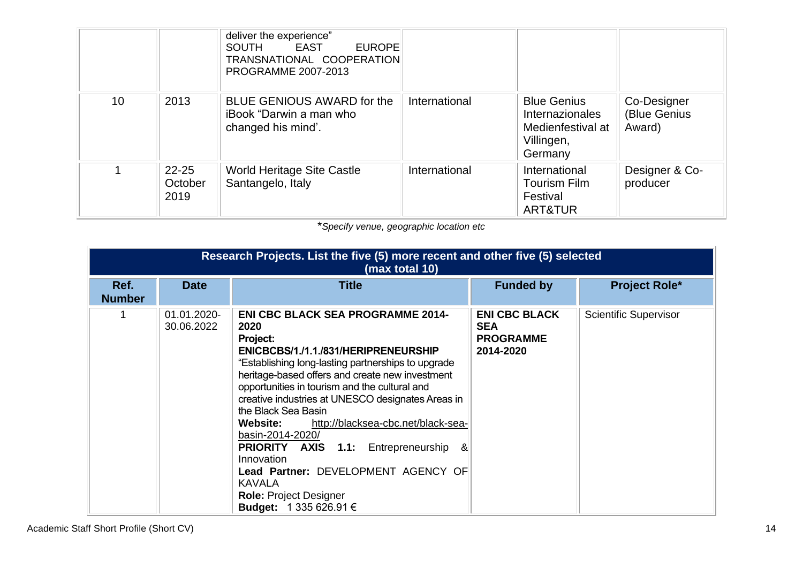|    |                              | deliver the experience"<br>SOUTH EAST<br><b>EUROPE</b><br>TRANSNATIONAL COOPERATION<br><b>PROGRAMME 2007-2013</b> |               |                                                                                            |                                       |
|----|------------------------------|-------------------------------------------------------------------------------------------------------------------|---------------|--------------------------------------------------------------------------------------------|---------------------------------------|
| 10 | 2013                         | <b>BLUE GENIOUS AWARD for the</b><br>iBook "Darwin a man who<br>changed his mind'.                                | International | <b>Blue Genius</b><br><b>Internazionales</b><br>Medienfestival at<br>Villingen,<br>Germany | Co-Designer<br>(Blue Genius<br>Award) |
|    | $22 - 25$<br>October<br>2019 | <b>World Heritage Site Castle</b><br>Santangelo, Italy                                                            | International | International<br><b>Tourism Film</b><br>Festival<br>ART&TUR                                | Designer & Co-<br>producer            |

\**Specify venue, geographic location etc*

|                       | Research Projects. List the five (5) more recent and other five (5) selected<br>(max total 10) |                                                                                                                                                                                                                                                                                                                                                                                                                                                                                                                                                                                                                        |                                                                     |                              |  |  |  |
|-----------------------|------------------------------------------------------------------------------------------------|------------------------------------------------------------------------------------------------------------------------------------------------------------------------------------------------------------------------------------------------------------------------------------------------------------------------------------------------------------------------------------------------------------------------------------------------------------------------------------------------------------------------------------------------------------------------------------------------------------------------|---------------------------------------------------------------------|------------------------------|--|--|--|
| Ref.<br><b>Number</b> | <b>Date</b>                                                                                    | <b>Title</b>                                                                                                                                                                                                                                                                                                                                                                                                                                                                                                                                                                                                           | <b>Funded by</b>                                                    | <b>Project Role*</b>         |  |  |  |
|                       | 01.01.2020-<br>30.06.2022                                                                      | <b>ENI CBC BLACK SEA PROGRAMME 2014-</b><br>2020<br><b>Project:</b><br>ENICBCBS/1./1.1./831/HERIPRENEURSHIP<br>"Establishing long-lasting partnerships to upgrade<br>heritage-based offers and create new investment<br>opportunities in tourism and the cultural and<br>creative industries at UNESCO designates Areas in<br>the Black Sea Basin<br>http://blacksea-cbc.net/black-sea-<br><b>Website:</b><br>basin-2014-2020/<br><b>PRIORITY AXIS 1.1:</b> Entrepreneurship &<br>Innovation<br>Lead Partner: DEVELOPMENT AGENCY OF<br><b>KAVALA</b><br><b>Role: Project Designer</b><br><b>Budget:</b> 1 335 626.91 € | <b>ENI CBC BLACK</b><br><b>SEA</b><br><b>PROGRAMME</b><br>2014-2020 | <b>Scientific Supervisor</b> |  |  |  |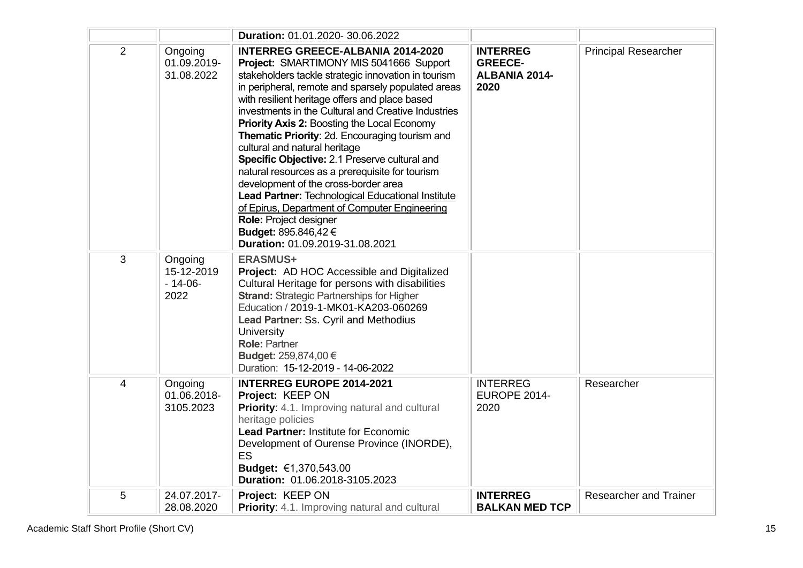|                |                                            | Duration: 01.01.2020-30.06.2022                                                                                                                                                                                                                                                                                                                                                                                                                                                                                                                                                                                                                                                                                                                                                                         |                                                                   |                               |
|----------------|--------------------------------------------|---------------------------------------------------------------------------------------------------------------------------------------------------------------------------------------------------------------------------------------------------------------------------------------------------------------------------------------------------------------------------------------------------------------------------------------------------------------------------------------------------------------------------------------------------------------------------------------------------------------------------------------------------------------------------------------------------------------------------------------------------------------------------------------------------------|-------------------------------------------------------------------|-------------------------------|
| 2              | Ongoing<br>01.09.2019-<br>31.08.2022       | <b>INTERREG GREECE-ALBANIA 2014-2020</b><br>Project: SMARTIMONY MIS 5041666 Support<br>stakeholders tackle strategic innovation in tourism<br>in peripheral, remote and sparsely populated areas<br>with resilient heritage offers and place based<br>investments in the Cultural and Creative Industries<br><b>Priority Axis 2: Boosting the Local Economy</b><br>Thematic Priority: 2d. Encouraging tourism and<br>cultural and natural heritage<br>Specific Objective: 2.1 Preserve cultural and<br>natural resources as a prerequisite for tourism<br>development of the cross-border area<br>Lead Partner: Technological Educational Institute<br>of Epirus, Department of Computer Engineering<br><b>Role: Project designer</b><br><b>Budget:</b> 895.846,42 €<br>Duration: 01.09.2019-31.08.2021 | <b>INTERREG</b><br><b>GREECE-</b><br><b>ALBANIA 2014-</b><br>2020 | <b>Principal Researcher</b>   |
| 3              | Ongoing<br>15-12-2019<br>$-14-06-$<br>2022 | <b>ERASMUS+</b><br>Project: AD HOC Accessible and Digitalized<br>Cultural Heritage for persons with disabilities<br><b>Strand: Strategic Partnerships for Higher</b><br>Education / 2019-1-MK01-KA203-060269<br>Lead Partner: Ss. Cyril and Methodius<br><b>University</b><br><b>Role: Partner</b><br>Budget: 259,874,00 €<br>Duration: 15-12-2019 - 14-06-2022                                                                                                                                                                                                                                                                                                                                                                                                                                         |                                                                   |                               |
| $\overline{4}$ | Ongoing<br>01.06.2018-<br>3105.2023        | <b>INTERREG EUROPE 2014-2021</b><br>Project: KEEP ON<br>Priority: 4.1. Improving natural and cultural<br>heritage policies<br><b>Lead Partner: Institute for Economic</b><br>Development of Ourense Province (INORDE),<br>ES<br>Budget: €1,370,543.00<br>Duration: 01.06.2018-3105.2023                                                                                                                                                                                                                                                                                                                                                                                                                                                                                                                 | <b>INTERREG</b><br><b>EUROPE 2014-</b><br>2020                    | Researcher                    |
| 5              | 24.07.2017-<br>28.08.2020                  | Project: KEEP ON<br><b>Priority:</b> 4.1. Improving natural and cultural                                                                                                                                                                                                                                                                                                                                                                                                                                                                                                                                                                                                                                                                                                                                | <b>INTERREG</b><br><b>BALKAN MED TCP</b>                          | <b>Researcher and Trainer</b> |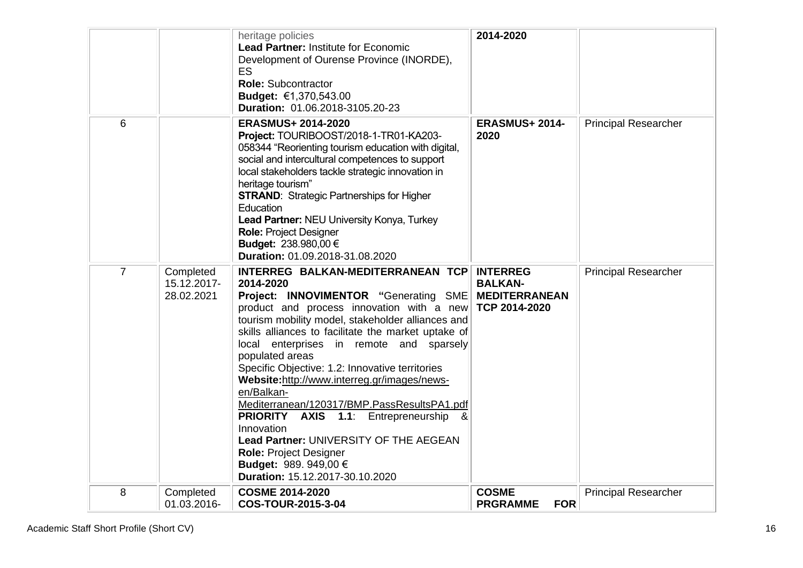|                |                                        | heritage policies<br>Lead Partner: Institute for Economic<br>Development of Ourense Province (INORDE),<br><b>ES</b><br><b>Role: Subcontractor</b><br>Budget: €1,370,543.00<br>Duration: 01.06.2018-3105.20-23                                                                                                                                                                                                                                                                                                                                                                                                                                                                                                   | 2014-2020                                     |                             |
|----------------|----------------------------------------|-----------------------------------------------------------------------------------------------------------------------------------------------------------------------------------------------------------------------------------------------------------------------------------------------------------------------------------------------------------------------------------------------------------------------------------------------------------------------------------------------------------------------------------------------------------------------------------------------------------------------------------------------------------------------------------------------------------------|-----------------------------------------------|-----------------------------|
| 6              |                                        | <b>ERASMUS+ 2014-2020</b><br>Project: TOURIBOOST/2018-1-TR01-KA203-<br>058344 "Reorienting tourism education with digital,<br>social and intercultural competences to support<br>local stakeholders tackle strategic innovation in<br>heritage tourism"<br><b>STRAND: Strategic Partnerships for Higher</b><br>Education<br>Lead Partner: NEU University Konya, Turkey<br><b>Role: Project Designer</b><br><b>Budget:</b> 238.980,00 €<br>Duration: 01.09.2018-31.08.2020                                                                                                                                                                                                                                       | <b>ERASMUS+ 2014-</b><br>2020                 | <b>Principal Researcher</b> |
| $\overline{7}$ | Completed<br>15.12.2017-<br>28.02.2021 | INTERREG BALKAN-MEDITERRANEAN TCP<br>2014-2020<br>Project: INNOVIMENTOR "Generating SME MEDITERRANEAN<br>product and process innovation with a new TCP 2014-2020<br>tourism mobility model, stakeholder alliances and<br>skills alliances to facilitate the market uptake of<br>local enterprises in remote and sparsely<br>populated areas<br>Specific Objective: 1.2: Innovative territories<br>Website:http://www.interreg.gr/images/news-<br>en/Balkan-<br>Mediterranean/120317/BMP.PassResultsPA1.pdf<br><b>PRIORITY</b><br>AXIS 1.1: Entrepreneurship<br>୍ୟ<br>Innovation<br>Lead Partner: UNIVERSITY OF THE AEGEAN<br>Role: Project Designer<br>Budget: 989. 949,00 €<br>Duration: 15.12.2017-30.10.2020 | <b>INTERREG</b><br><b>BALKAN-</b>             | <b>Principal Researcher</b> |
| 8              | Completed<br>01.03.2016-               | <b>COSME 2014-2020</b><br><b>COS-TOUR-2015-3-04</b>                                                                                                                                                                                                                                                                                                                                                                                                                                                                                                                                                                                                                                                             | <b>COSME</b><br><b>FOR</b><br><b>PRGRAMME</b> | <b>Principal Researcher</b> |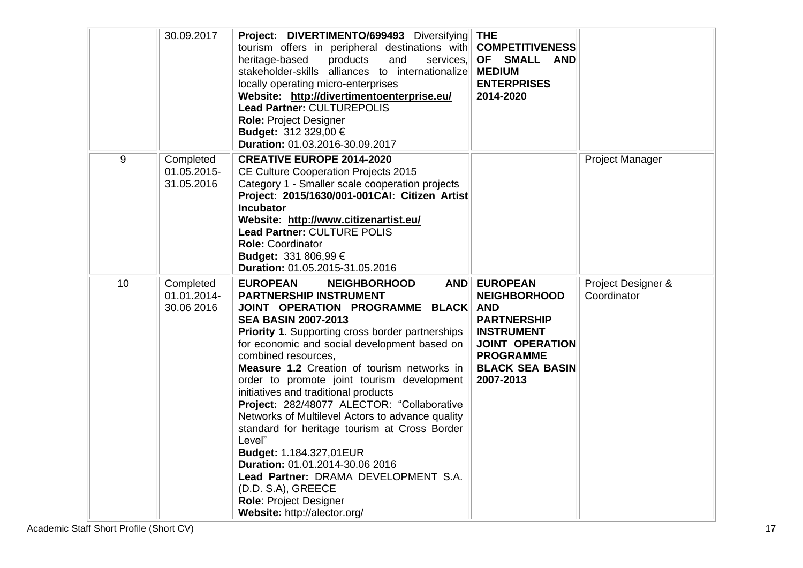|    | 30.09.2017                             | Project: DIVERTIMENTO/699493 Diversifying<br>tourism offers in peripheral destinations with<br>heritage-based<br>and<br>services,<br>products<br>stakeholder-skills alliances to internationalize MEDIUM<br>locally operating micro-enterprises<br>Website: http://divertimentoenterprise.eu/<br>Lead Partner: CULTUREPOLIS<br><b>Role: Project Designer</b><br><b>Budget:</b> 312 329,00 €<br>Duration: 01.03.2016-30.09.2017                                                                                                                                                                                                                                                                                                                                                   | <b>THE</b><br><b>COMPETITIVENESS</b><br>OF SMALL AND<br><b>ENTERPRISES</b><br>2014-2020                                                                                                  |                                   |
|----|----------------------------------------|----------------------------------------------------------------------------------------------------------------------------------------------------------------------------------------------------------------------------------------------------------------------------------------------------------------------------------------------------------------------------------------------------------------------------------------------------------------------------------------------------------------------------------------------------------------------------------------------------------------------------------------------------------------------------------------------------------------------------------------------------------------------------------|------------------------------------------------------------------------------------------------------------------------------------------------------------------------------------------|-----------------------------------|
| 9  | Completed<br>01.05.2015-<br>31.05.2016 | <b>CREATIVE EUROPE 2014-2020</b><br>CE Culture Cooperation Projects 2015<br>Category 1 - Smaller scale cooperation projects<br>Project: 2015/1630/001-001CAI: Citizen Artist<br><b>Incubator</b><br>Website: http://www.citizenartist.eu/<br><b>Lead Partner: CULTURE POLIS</b><br><b>Role: Coordinator</b><br>Budget: 331 806,99 €<br>Duration: 01.05.2015-31.05.2016                                                                                                                                                                                                                                                                                                                                                                                                           |                                                                                                                                                                                          | <b>Project Manager</b>            |
| 10 | Completed<br>01.01.2014-<br>30.06 2016 | <b>EUROPEAN</b><br><b>NEIGHBORHOOD</b><br><b>PARTNERSHIP INSTRUMENT</b><br>JOINT OPERATION PROGRAMME BLACK<br><b>SEA BASIN 2007-2013</b><br><b>Priority 1.</b> Supporting cross border partnerships<br>for economic and social development based on<br>combined resources,<br><b>Measure 1.2</b> Creation of tourism networks in<br>order to promote joint tourism development<br>initiatives and traditional products<br>Project: 282/48077 ALECTOR: "Collaborative<br>Networks of Multilevel Actors to advance quality<br>standard for heritage tourism at Cross Border<br>Level"<br><b>Budget: 1.184.327,01EUR</b><br>Duration: 01.01.2014-30.06 2016<br>Lead Partner: DRAMA DEVELOPMENT S.A.<br>(D.D. S.A), GREECE<br>Role: Project Designer<br>Website: http://alector.org/ | <b>AND EUROPEAN</b><br><b>NEIGHBORHOOD</b><br><b>AND</b><br><b>PARTNERSHIP</b><br><b>INSTRUMENT</b><br><b>JOINT OPERATION</b><br><b>PROGRAMME</b><br><b>BLACK SEA BASIN</b><br>2007-2013 | Project Designer &<br>Coordinator |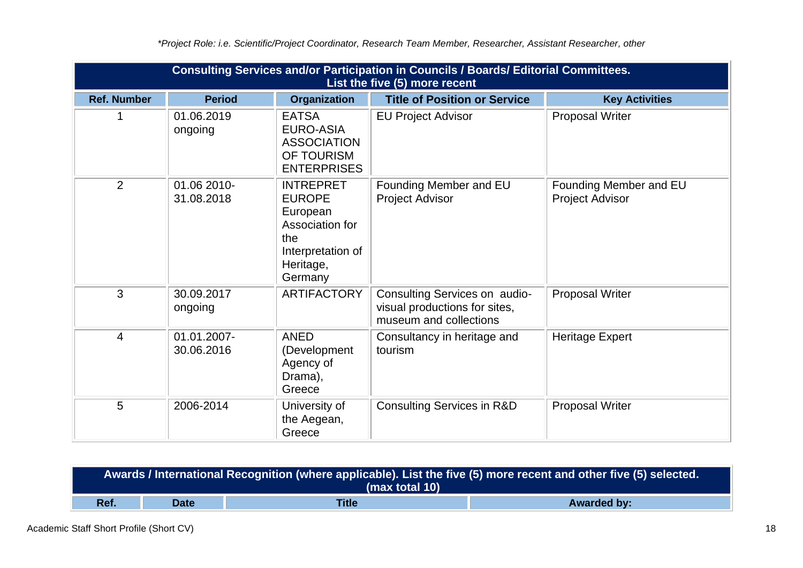|                    | <b>Consulting Services and/or Participation in Councils / Boards/ Editorial Committees.</b><br>List the five (5) more recent |                                                                                                                      |                                                                                          |                                                  |  |  |
|--------------------|------------------------------------------------------------------------------------------------------------------------------|----------------------------------------------------------------------------------------------------------------------|------------------------------------------------------------------------------------------|--------------------------------------------------|--|--|
| <b>Ref. Number</b> | <b>Period</b>                                                                                                                | <b>Organization</b>                                                                                                  | <b>Title of Position or Service</b>                                                      | <b>Key Activities</b>                            |  |  |
| 1                  | 01.06.2019<br>ongoing                                                                                                        | <b>EATSA</b><br><b>EURO-ASIA</b><br><b>ASSOCIATION</b><br>OF TOURISM<br><b>ENTERPRISES</b>                           | <b>EU Project Advisor</b>                                                                | <b>Proposal Writer</b>                           |  |  |
| $\overline{2}$     | 01.06 2010-<br>31.08.2018                                                                                                    | <b>INTREPRET</b><br><b>EUROPE</b><br>European<br>Association for<br>the<br>Interpretation of<br>Heritage,<br>Germany | Founding Member and EU<br><b>Project Advisor</b>                                         | Founding Member and EU<br><b>Project Advisor</b> |  |  |
| 3                  | 30.09.2017<br>ongoing                                                                                                        | <b>ARTIFACTORY</b>                                                                                                   | Consulting Services on audio-<br>visual productions for sites,<br>museum and collections | <b>Proposal Writer</b>                           |  |  |
| $\overline{4}$     | 01.01.2007-<br>30.06.2016                                                                                                    | <b>ANED</b><br>(Development<br>Agency of<br>Drama),<br>Greece                                                        | Consultancy in heritage and<br>tourism                                                   | <b>Heritage Expert</b>                           |  |  |
| 5                  | 2006-2014                                                                                                                    | University of<br>the Aegean,<br>Greece                                                                               | <b>Consulting Services in R&amp;D</b>                                                    | <b>Proposal Writer</b>                           |  |  |

*\*Project Role: i.e. Scientific/Project Coordinator, Research Team Member, Researcher, Assistant Researcher, other*

| Awards / International Recognition (where applicable). List the five (5) more recent and other five (5) selected.<br>(max total 10) |             |       |                    |  |
|-------------------------------------------------------------------------------------------------------------------------------------|-------------|-------|--------------------|--|
| Ref.                                                                                                                                | <b>Date</b> | Title | <b>Awarded by:</b> |  |